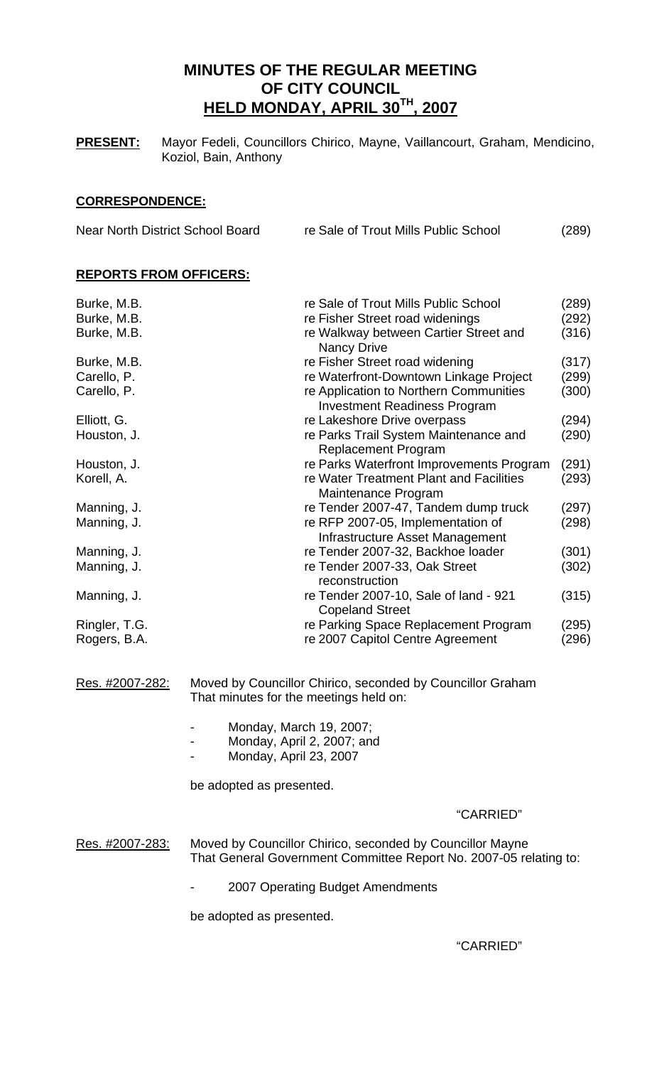# **MINUTES OF THE REGULAR MEETING OF CITY COUNCIL HELD MONDAY, APRIL 30TH, 2007**

**PRESENT:** Mayor Fedeli, Councillors Chirico, Mayne, Vaillancourt, Graham, Mendicino, Koziol, Bain, Anthony

## **CORRESPONDENCE:**

| Near North District School Board | re Sale of Trout Mills Public School | (289) |
|----------------------------------|--------------------------------------|-------|
|                                  |                                      |       |

# **REPORTS FROM OFFICERS:**

| Burke, M.B.<br>Burke, M.B.<br>Burke, M.B. | re Sale of Trout Mills Public School<br>re Fisher Street road widenings<br>re Walkway between Cartier Street and                                                                | (289)<br>(292)<br>(316) |
|-------------------------------------------|---------------------------------------------------------------------------------------------------------------------------------------------------------------------------------|-------------------------|
| Burke, M.B.<br>Carello, P.<br>Carello, P. | <b>Nancy Drive</b><br>re Fisher Street road widening<br>re Waterfront-Downtown Linkage Project<br>re Application to Northern Communities<br><b>Investment Readiness Program</b> | (317)<br>(299)<br>(300) |
| Elliott, G.<br>Houston, J.                | re Lakeshore Drive overpass<br>re Parks Trail System Maintenance and<br><b>Replacement Program</b>                                                                              | (294)<br>(290)          |
| Houston, J.<br>Korell, A.                 | re Parks Waterfront Improvements Program<br>re Water Treatment Plant and Facilities<br>Maintenance Program                                                                      | (291)<br>(293)          |
| Manning, J.<br>Manning, J.                | re Tender 2007-47, Tandem dump truck<br>re RFP 2007-05, Implementation of<br>Infrastructure Asset Management                                                                    | (297)<br>(298)          |
| Manning, J.<br>Manning, J.                | re Tender 2007-32, Backhoe loader<br>re Tender 2007-33, Oak Street<br>reconstruction                                                                                            | (301)<br>(302)          |
| Manning, J.                               | re Tender 2007-10, Sale of land - 921<br><b>Copeland Street</b>                                                                                                                 | (315)                   |
| Ringler, T.G.<br>Rogers, B.A.             | re Parking Space Replacement Program<br>re 2007 Capitol Centre Agreement                                                                                                        | (295)<br>(296)          |
| Res. #2007-282:                           | Moved by Councillor Chirico, seconded by Councillor Graham<br>That minutes for the meetings held on:                                                                            |                         |
|                                           | Monday, March 19, 2007;<br>Monday, April 2, 2007; and<br>Monday, April 23, 2007                                                                                                 |                         |
|                                           | be adopted as presented.                                                                                                                                                        |                         |
|                                           | "CARRIED"                                                                                                                                                                       |                         |
| Res. #2007-283:                           | Moved by Councillor Chirico, seconded by Councillor Mayne<br>That General Government Committee Report No. 2007-05 relating to:                                                  |                         |
|                                           | 2007 Operating Budget Amendments                                                                                                                                                |                         |

be adopted as presented.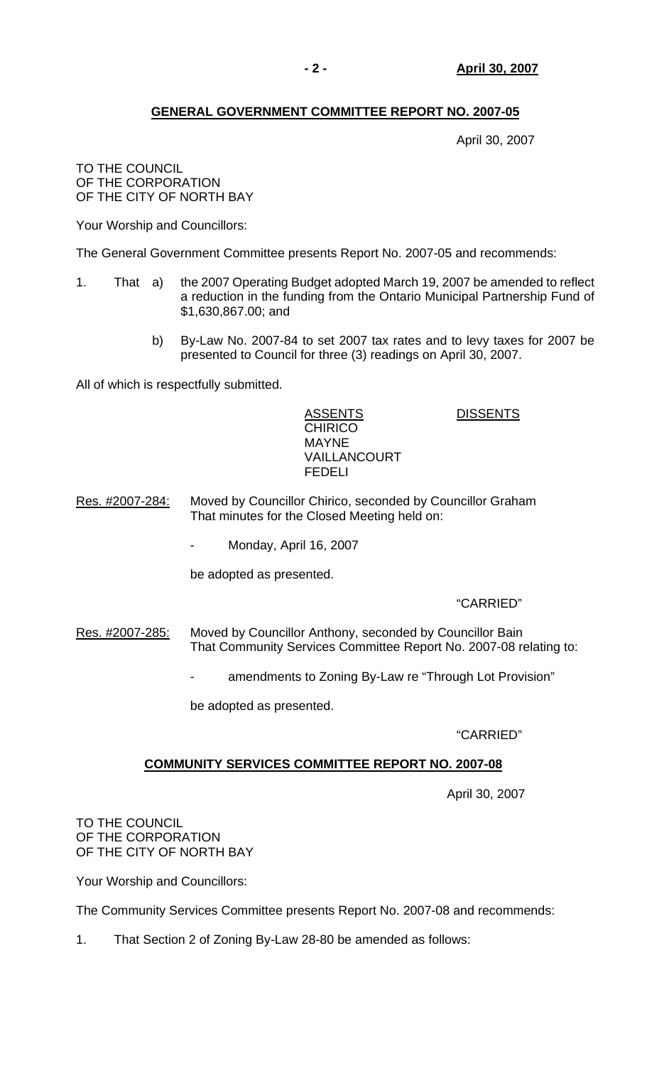# **GENERAL GOVERNMENT COMMITTEE REPORT NO. 2007-05**

April 30, 2007

#### TO THE COUNCIL OF THE CORPORATION OF THE CITY OF NORTH BAY

Your Worship and Councillors:

The General Government Committee presents Report No. 2007-05 and recommends:

- 1. That a) the 2007 Operating Budget adopted March 19, 2007 be amended to reflect a reduction in the funding from the Ontario Municipal Partnership Fund of \$1,630,867.00; and
	- b) By-Law No. 2007-84 to set 2007 tax rates and to levy taxes for 2007 be presented to Council for three (3) readings on April 30, 2007.

All of which is respectfully submitted.

| <b>ASSENTS</b> | <b>DISSENTS</b> |
|----------------|-----------------|
| <b>CHIRICO</b> |                 |
| <b>MAYNE</b>   |                 |
| VAILLANCOURT   |                 |
| <b>FEDELL</b>  |                 |
|                |                 |

- Res. #2007-284: Moved by Councillor Chirico, seconded by Councillor Graham That minutes for the Closed Meeting held on:
	- Monday, April 16, 2007

be adopted as presented.

# "CARRIED"

- Res. #2007-285: Moved by Councillor Anthony, seconded by Councillor Bain That Community Services Committee Report No. 2007-08 relating to:
	- amendments to Zoning By-Law re "Through Lot Provision"

be adopted as presented.

# "CARRIED"

# **COMMUNITY SERVICES COMMITTEE REPORT NO. 2007-08**

April 30, 2007

TO THE COUNCIL OF THE CORPORATION OF THE CITY OF NORTH BAY

Your Worship and Councillors:

The Community Services Committee presents Report No. 2007-08 and recommends:

1. That Section 2 of Zoning By-Law 28-80 be amended as follows: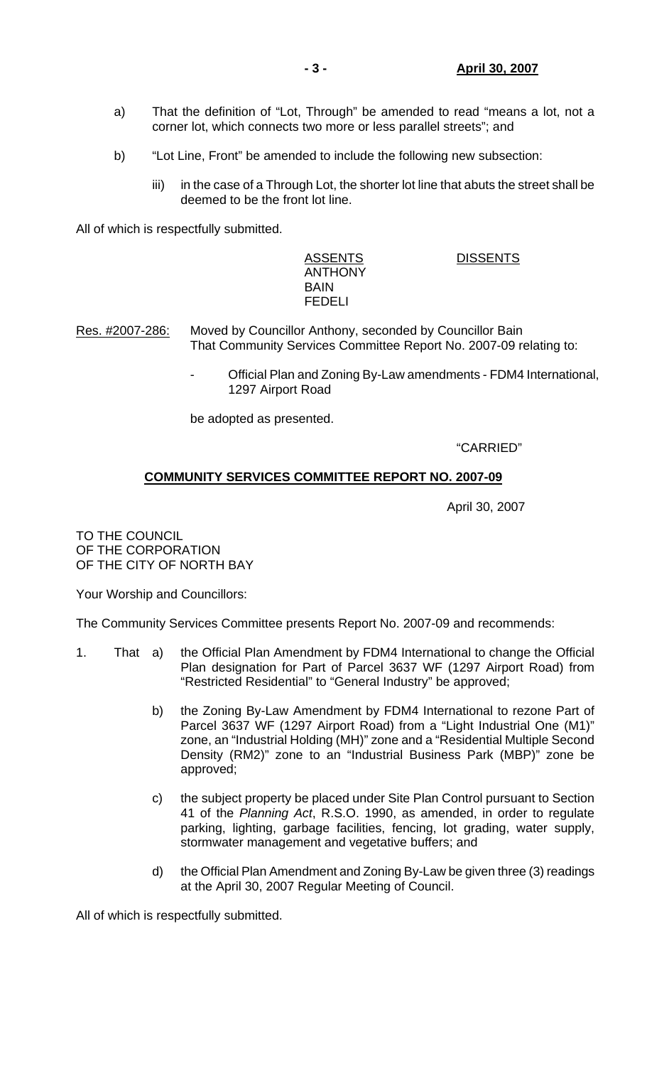- a) That the definition of "Lot, Through" be amended to read "means a lot, not a corner lot, which connects two more or less parallel streets"; and
- b) "Lot Line, Front" be amended to include the following new subsection:
	- iii) in the case of a Through Lot, the shorter lot line that abuts the street shall be deemed to be the front lot line.

All of which is respectfully submitted.

 ASSENTS DISSENTS ANTHONY BAIN FEDELI

- Res. #2007-286: Moved by Councillor Anthony, seconded by Councillor Bain That Community Services Committee Report No. 2007-09 relating to:
	- Official Plan and Zoning By-Law amendments FDM4 International, 1297 Airport Road

be adopted as presented.

"CARRIED"

## **COMMUNITY SERVICES COMMITTEE REPORT NO. 2007-09**

April 30, 2007

TO THE COUNCIL OF THE CORPORATION OF THE CITY OF NORTH BAY

Your Worship and Councillors:

The Community Services Committee presents Report No. 2007-09 and recommends:

- 1. That a) the Official Plan Amendment by FDM4 International to change the Official Plan designation for Part of Parcel 3637 WF (1297 Airport Road) from "Restricted Residential" to "General Industry" be approved;
	- b) the Zoning By-Law Amendment by FDM4 International to rezone Part of Parcel 3637 WF (1297 Airport Road) from a "Light Industrial One (M1)" zone, an "Industrial Holding (MH)" zone and a "Residential Multiple Second Density (RM2)" zone to an "Industrial Business Park (MBP)" zone be approved;
	- c) the subject property be placed under Site Plan Control pursuant to Section 41 of the *Planning Act*, R.S.O. 1990, as amended, in order to regulate parking, lighting, garbage facilities, fencing, lot grading, water supply, stormwater management and vegetative buffers; and
	- d) the Official Plan Amendment and Zoning By-Law be given three (3) readings at the April 30, 2007 Regular Meeting of Council.

All of which is respectfully submitted.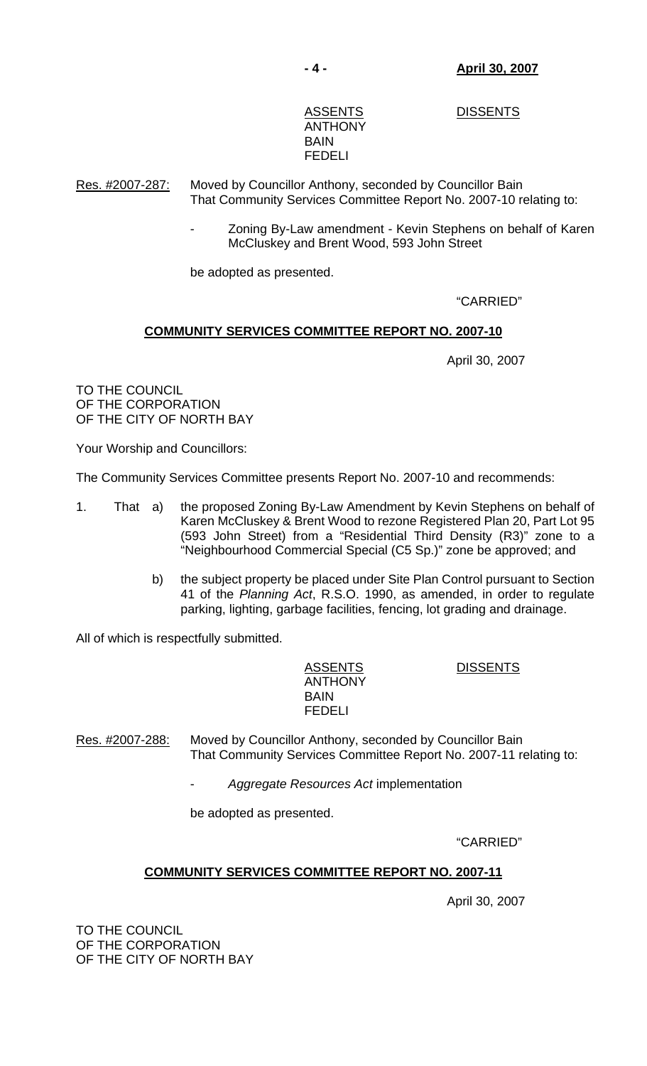ASSENTS DISSENTS

# ANTHONY BAIN FEDELI

Res. #2007-287: Moved by Councillor Anthony, seconded by Councillor Bain That Community Services Committee Report No. 2007-10 relating to:

> Zoning By-Law amendment - Kevin Stephens on behalf of Karen McCluskey and Brent Wood, 593 John Street

be adopted as presented.

"CARRIED"

# **COMMUNITY SERVICES COMMITTEE REPORT NO. 2007-10**

April 30, 2007

TO THE COUNCIL OF THE CORPORATION OF THE CITY OF NORTH BAY

Your Worship and Councillors:

The Community Services Committee presents Report No. 2007-10 and recommends:

- 1. That a) the proposed Zoning By-Law Amendment by Kevin Stephens on behalf of Karen McCluskey & Brent Wood to rezone Registered Plan 20, Part Lot 95 (593 John Street) from a "Residential Third Density (R3)" zone to a "Neighbourhood Commercial Special (C5 Sp.)" zone be approved; and
	- b) the subject property be placed under Site Plan Control pursuant to Section 41 of the *Planning Act*, R.S.O. 1990, as amended, in order to regulate parking, lighting, garbage facilities, fencing, lot grading and drainage.

All of which is respectfully submitted.

 ASSENTS DISSENTS ANTHONY BAIN FEDELI

Res. #2007-288: Moved by Councillor Anthony, seconded by Councillor Bain That Community Services Committee Report No. 2007-11 relating to:

- *Aggregate Resources Act* implementation

be adopted as presented.

"CARRIED"

# **COMMUNITY SERVICES COMMITTEE REPORT NO. 2007-11**

April 30, 2007

TO THE COUNCIL OF THE CORPORATION OF THE CITY OF NORTH BAY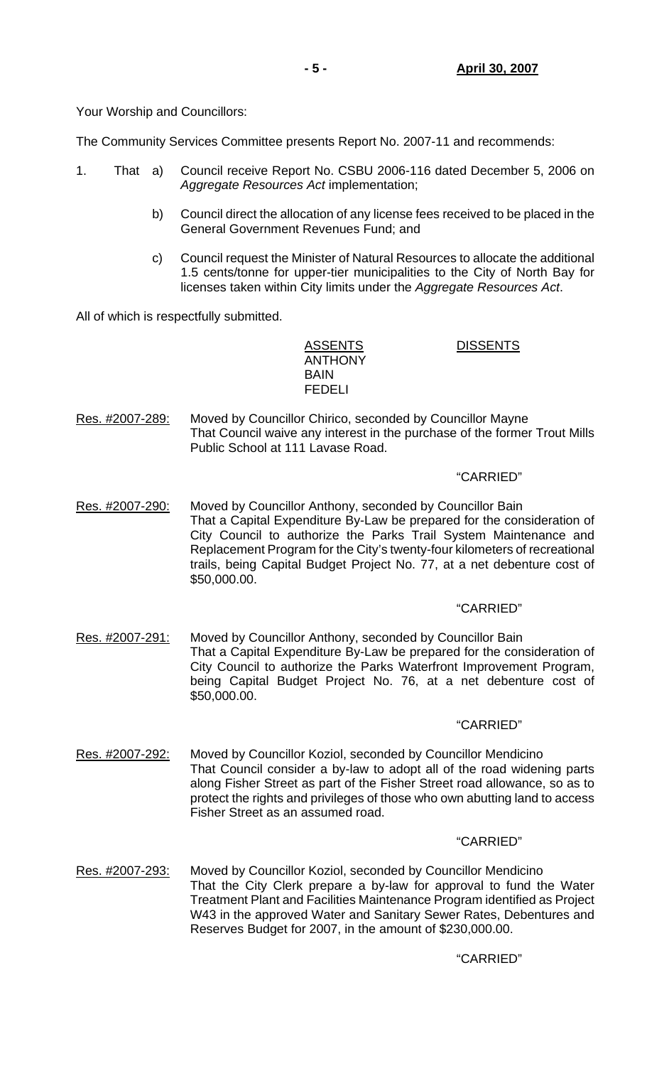Your Worship and Councillors:

The Community Services Committee presents Report No. 2007-11 and recommends:

- 1. That a) Council receive Report No. CSBU 2006-116 dated December 5, 2006 on *Aggregate Resources Act* implementation;
	- b) Council direct the allocation of any license fees received to be placed in the General Government Revenues Fund; and
	- c) Council request the Minister of Natural Resources to allocate the additional 1.5 cents/tonne for upper-tier municipalities to the City of North Bay for licenses taken within City limits under the *Aggregate Resources Act*.

All of which is respectfully submitted.

ASSENTS DISSENTS ANTHONY **BAIN** FEDELI

Res. #2007-289: Moved by Councillor Chirico, seconded by Councillor Mayne That Council waive any interest in the purchase of the former Trout Mills Public School at 111 Lavase Road.

## "CARRIED"

Res. #2007-290: Moved by Councillor Anthony, seconded by Councillor Bain That a Capital Expenditure By-Law be prepared for the consideration of City Council to authorize the Parks Trail System Maintenance and Replacement Program for the City's twenty-four kilometers of recreational trails, being Capital Budget Project No. 77, at a net debenture cost of \$50,000.00.

## "CARRIED"

Res. #2007-291: Moved by Councillor Anthony, seconded by Councillor Bain That a Capital Expenditure By-Law be prepared for the consideration of City Council to authorize the Parks Waterfront Improvement Program, being Capital Budget Project No. 76, at a net debenture cost of \$50,000.00.

## "CARRIED"

Res. #2007-292: Moved by Councillor Koziol, seconded by Councillor Mendicino That Council consider a by-law to adopt all of the road widening parts along Fisher Street as part of the Fisher Street road allowance, so as to protect the rights and privileges of those who own abutting land to access Fisher Street as an assumed road.

# "CARRIED"

Res. #2007-293: Moved by Councillor Koziol, seconded by Councillor Mendicino That the City Clerk prepare a by-law for approval to fund the Water Treatment Plant and Facilities Maintenance Program identified as Project W43 in the approved Water and Sanitary Sewer Rates, Debentures and Reserves Budget for 2007, in the amount of \$230,000.00.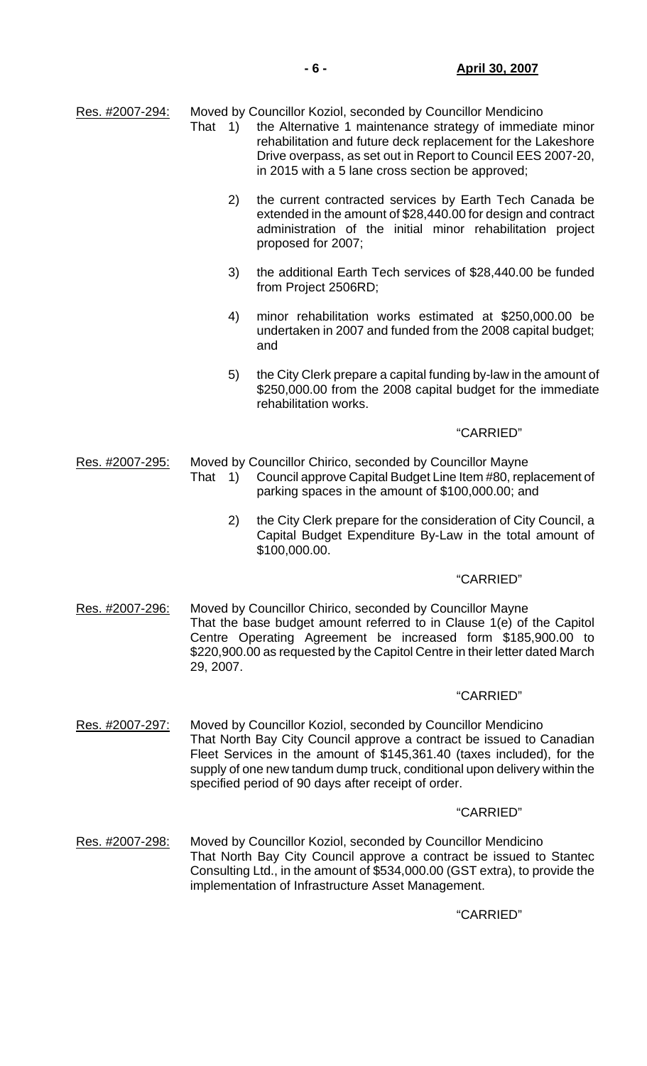| Res. #2007-294: | That<br>$\left( \begin{array}{c} 1 \end{array} \right)$                                                                                                                                                                                                                                                                                            | Moved by Councillor Koziol, seconded by Councillor Mendicino<br>the Alternative 1 maintenance strategy of immediate minor<br>rehabilitation and future deck replacement for the Lakeshore<br>Drive overpass, as set out in Report to Council EES 2007-20,<br>in 2015 with a 5 lane cross section be approved; |
|-----------------|----------------------------------------------------------------------------------------------------------------------------------------------------------------------------------------------------------------------------------------------------------------------------------------------------------------------------------------------------|---------------------------------------------------------------------------------------------------------------------------------------------------------------------------------------------------------------------------------------------------------------------------------------------------------------|
|                 | 2)                                                                                                                                                                                                                                                                                                                                                 | the current contracted services by Earth Tech Canada be<br>extended in the amount of \$28,440.00 for design and contract<br>administration of the initial minor rehabilitation project<br>proposed for 2007;                                                                                                  |
|                 | 3)                                                                                                                                                                                                                                                                                                                                                 | the additional Earth Tech services of \$28,440.00 be funded<br>from Project 2506RD;                                                                                                                                                                                                                           |
|                 | 4)                                                                                                                                                                                                                                                                                                                                                 | minor rehabilitation works estimated at \$250,000.00 be<br>undertaken in 2007 and funded from the 2008 capital budget;<br>and                                                                                                                                                                                 |
|                 | 5)                                                                                                                                                                                                                                                                                                                                                 | the City Clerk prepare a capital funding by-law in the amount of<br>\$250,000.00 from the 2008 capital budget for the immediate<br>rehabilitation works.                                                                                                                                                      |
|                 |                                                                                                                                                                                                                                                                                                                                                    | "CARRIED"                                                                                                                                                                                                                                                                                                     |
| Res. #2007-295: | That 1)                                                                                                                                                                                                                                                                                                                                            | Moved by Councillor Chirico, seconded by Councillor Mayne<br>Council approve Capital Budget Line Item #80, replacement of<br>parking spaces in the amount of \$100,000.00; and                                                                                                                                |
|                 | 2)                                                                                                                                                                                                                                                                                                                                                 | the City Clerk prepare for the consideration of City Council, a<br>Capital Budget Expenditure By-Law in the total amount of<br>\$100,000.00.                                                                                                                                                                  |
|                 |                                                                                                                                                                                                                                                                                                                                                    | "CARRIED"                                                                                                                                                                                                                                                                                                     |
| Res. #2007-296: | Moved by Councillor Chirico, seconded by Councillor Mayne<br>That the base budget amount referred to in Clause 1(e) of the Capitol<br>Centre Operating Agreement be increased form \$185,900.00 to<br>\$220,900.00 as requested by the Capitol Centre in their letter dated March<br>29, 2007.                                                     |                                                                                                                                                                                                                                                                                                               |
|                 |                                                                                                                                                                                                                                                                                                                                                    | "CARRIED"                                                                                                                                                                                                                                                                                                     |
| Res. #2007-297: | Moved by Councillor Koziol, seconded by Councillor Mendicino<br>That North Bay City Council approve a contract be issued to Canadian<br>Fleet Services in the amount of \$145,361.40 (taxes included), for the<br>supply of one new tandum dump truck, conditional upon delivery within the<br>specified period of 90 days after receipt of order. |                                                                                                                                                                                                                                                                                                               |
|                 |                                                                                                                                                                                                                                                                                                                                                    | "CARRIED"                                                                                                                                                                                                                                                                                                     |
| Res. #2007-298: | Moved by Councillor Koziol, seconded by Councillor Mendicino<br>That North Bay City Council approve a contract be issued to Stantec<br>Consulting Ltd., in the amount of \$534,000.00 (GST extra), to provide the<br>implementation of Infrastructure Asset Management.                                                                            |                                                                                                                                                                                                                                                                                                               |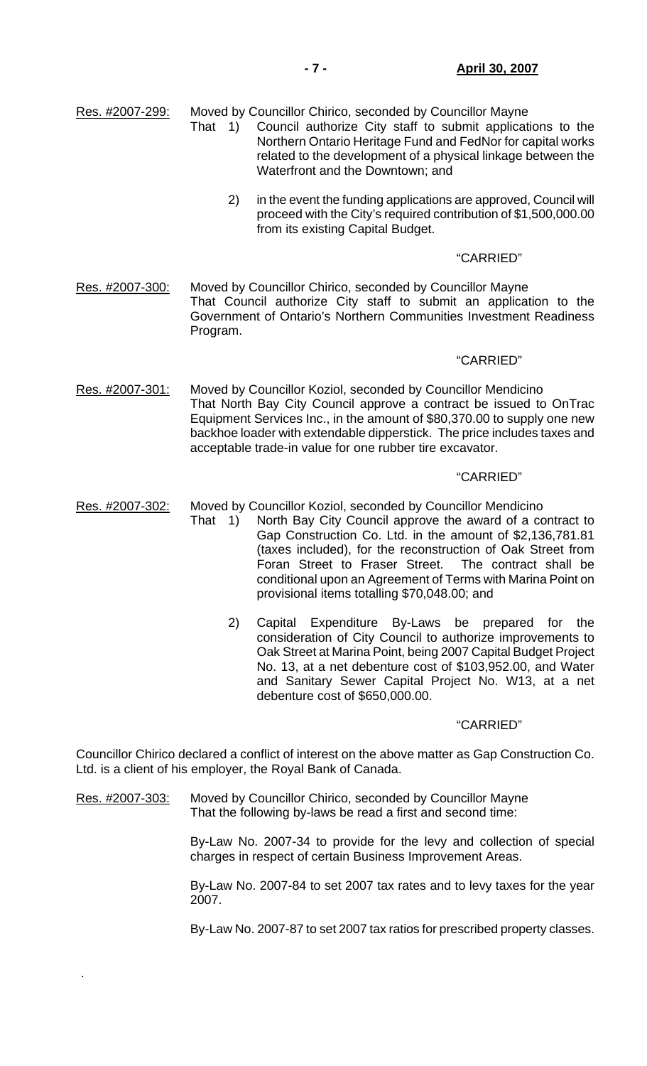Res. #2007-299: Moved by Councillor Chirico, seconded by Councillor Mayne

- That 1) Council authorize City staff to submit applications to the Northern Ontario Heritage Fund and FedNor for capital works related to the development of a physical linkage between the Waterfront and the Downtown; and
	- 2) in the event the funding applications are approved, Council will proceed with the City's required contribution of \$1,500,000.00 from its existing Capital Budget.

## "CARRIED"

Res. #2007-300: Moved by Councillor Chirico, seconded by Councillor Mayne That Council authorize City staff to submit an application to the Government of Ontario's Northern Communities Investment Readiness Program.

## "CARRIED"

Res. #2007-301: Moved by Councillor Koziol, seconded by Councillor Mendicino That North Bay City Council approve a contract be issued to OnTrac Equipment Services Inc., in the amount of \$80,370.00 to supply one new backhoe loader with extendable dipperstick. The price includes taxes and acceptable trade-in value for one rubber tire excavator.

## "CARRIED"

- Res. #2007-302: Moved by Councillor Koziol, seconded by Councillor Mendicino
- That 1) North Bay City Council approve the award of a contract to Gap Construction Co. Ltd. in the amount of \$2,136,781.81 (taxes included), for the reconstruction of Oak Street from Foran Street to Fraser Street. The contract shall be conditional upon an Agreement of Terms with Marina Point on provisional items totalling \$70,048.00; and
	- 2) Capital Expenditure By-Laws be prepared for the consideration of City Council to authorize improvements to Oak Street at Marina Point, being 2007 Capital Budget Project No. 13, at a net debenture cost of \$103,952.00, and Water and Sanitary Sewer Capital Project No. W13, at a net debenture cost of \$650,000.00.

## "CARRIED"

Councillor Chirico declared a conflict of interest on the above matter as Gap Construction Co. Ltd. is a client of his employer, the Royal Bank of Canada.

Res. #2007-303: Moved by Councillor Chirico, seconded by Councillor Mayne That the following by-laws be read a first and second time:

.

 By-Law No. 2007-34 to provide for the levy and collection of special charges in respect of certain Business Improvement Areas.

 By-Law No. 2007-84 to set 2007 tax rates and to levy taxes for the year 2007.

By-Law No. 2007-87 to set 2007 tax ratios for prescribed property classes.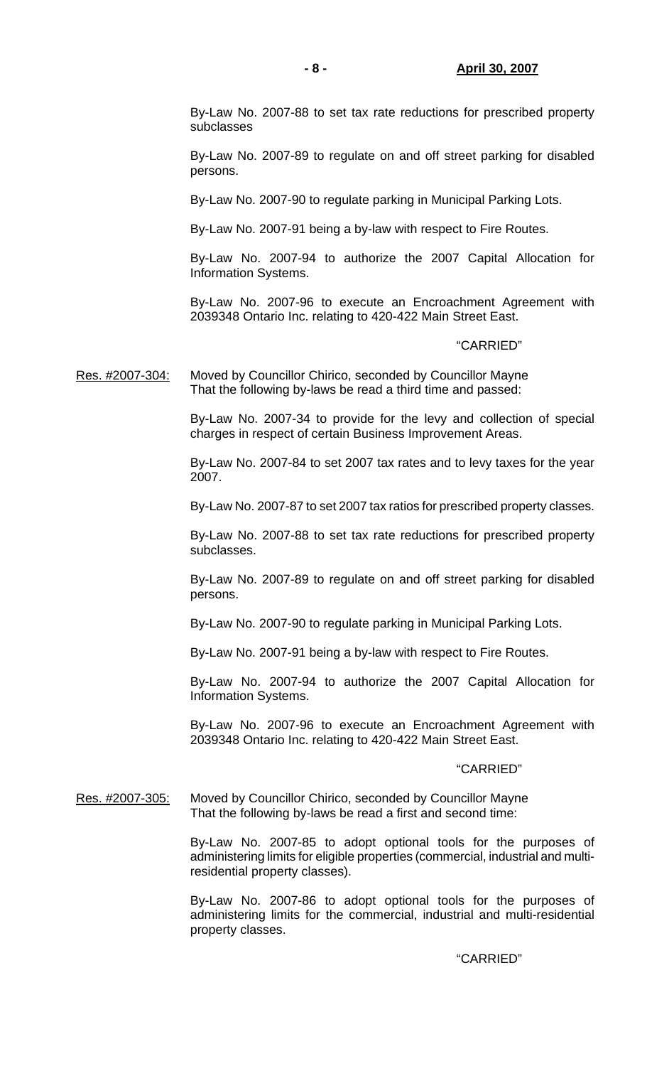By-Law No. 2007-88 to set tax rate reductions for prescribed property subclasses

 By-Law No. 2007-89 to regulate on and off street parking for disabled persons.

By-Law No. 2007-90 to regulate parking in Municipal Parking Lots.

By-Law No. 2007-91 being a by-law with respect to Fire Routes.

 By-Law No. 2007-94 to authorize the 2007 Capital Allocation for Information Systems.

 By-Law No. 2007-96 to execute an Encroachment Agreement with 2039348 Ontario Inc. relating to 420-422 Main Street East.

#### "CARRIED"

Res. #2007-304: Moved by Councillor Chirico, seconded by Councillor Mayne That the following by-laws be read a third time and passed:

> By-Law No. 2007-34 to provide for the levy and collection of special charges in respect of certain Business Improvement Areas.

> By-Law No. 2007-84 to set 2007 tax rates and to levy taxes for the year 2007.

> By-Law No. 2007-87 to set 2007 tax ratios for prescribed property classes.

 By-Law No. 2007-88 to set tax rate reductions for prescribed property subclasses.

 By-Law No. 2007-89 to regulate on and off street parking for disabled persons.

By-Law No. 2007-90 to regulate parking in Municipal Parking Lots.

By-Law No. 2007-91 being a by-law with respect to Fire Routes.

 By-Law No. 2007-94 to authorize the 2007 Capital Allocation for Information Systems.

 By-Law No. 2007-96 to execute an Encroachment Agreement with 2039348 Ontario Inc. relating to 420-422 Main Street East.

#### "CARRIED"

Res. #2007-305: Moved by Councillor Chirico, seconded by Councillor Mayne That the following by-laws be read a first and second time:

> By-Law No. 2007-85 to adopt optional tools for the purposes of administering limits for eligible properties (commercial, industrial and multiresidential property classes).

> By-Law No. 2007-86 to adopt optional tools for the purposes of administering limits for the commercial, industrial and multi-residential property classes.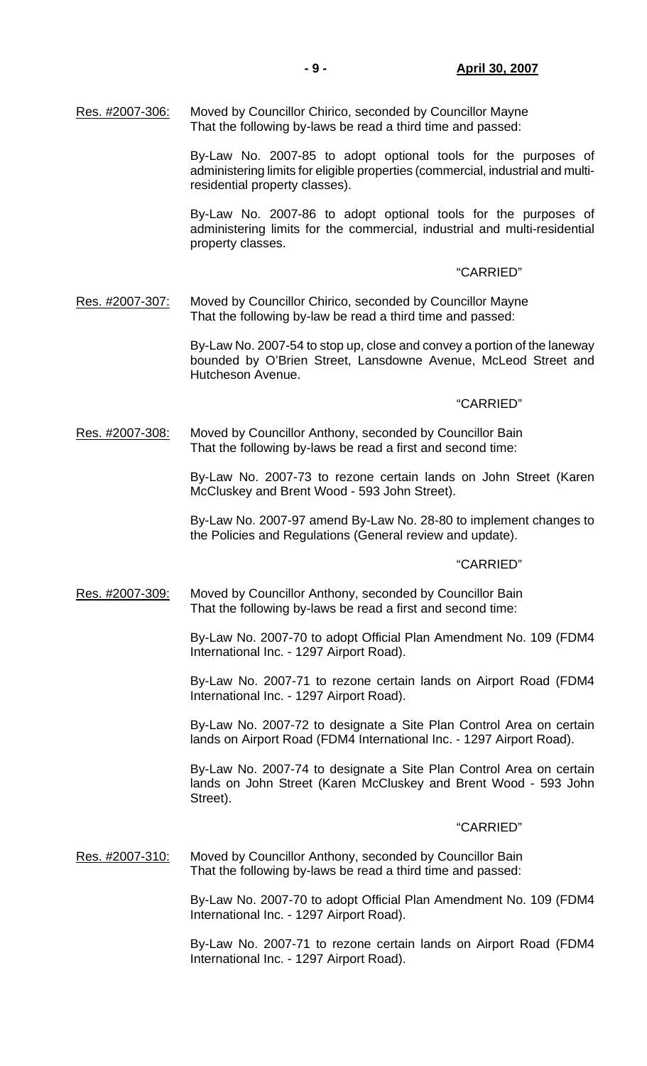By-Law No. 2007-85 to adopt optional tools for the purposes of administering limits for eligible properties (commercial, industrial and multiresidential property classes).

 By-Law No. 2007-86 to adopt optional tools for the purposes of administering limits for the commercial, industrial and multi-residential property classes.

#### "CARRIED"

Res. #2007-307: Moved by Councillor Chirico, seconded by Councillor Mayne That the following by-law be read a third time and passed:

> By-Law No. 2007-54 to stop up, close and convey a portion of the laneway bounded by O'Brien Street, Lansdowne Avenue, McLeod Street and Hutcheson Avenue.

#### "CARRIED"

Res. #2007-308: Moved by Councillor Anthony, seconded by Councillor Bain That the following by-laws be read a first and second time:

> By-Law No. 2007-73 to rezone certain lands on John Street (Karen McCluskey and Brent Wood - 593 John Street).

> By-Law No. 2007-97 amend By-Law No. 28-80 to implement changes to the Policies and Regulations (General review and update).

#### "CARRIED"

Res. #2007-309: Moved by Councillor Anthony, seconded by Councillor Bain That the following by-laws be read a first and second time:

> By-Law No. 2007-70 to adopt Official Plan Amendment No. 109 (FDM4 International Inc. - 1297 Airport Road).

> By-Law No. 2007-71 to rezone certain lands on Airport Road (FDM4 International Inc. - 1297 Airport Road).

> By-Law No. 2007-72 to designate a Site Plan Control Area on certain lands on Airport Road (FDM4 International Inc. - 1297 Airport Road).

> By-Law No. 2007-74 to designate a Site Plan Control Area on certain lands on John Street (Karen McCluskey and Brent Wood - 593 John Street).

#### "CARRIED"

Res. #2007-310: Moved by Councillor Anthony, seconded by Councillor Bain That the following by-laws be read a third time and passed:

> By-Law No. 2007-70 to adopt Official Plan Amendment No. 109 (FDM4 International Inc. - 1297 Airport Road).

> By-Law No. 2007-71 to rezone certain lands on Airport Road (FDM4 International Inc. - 1297 Airport Road).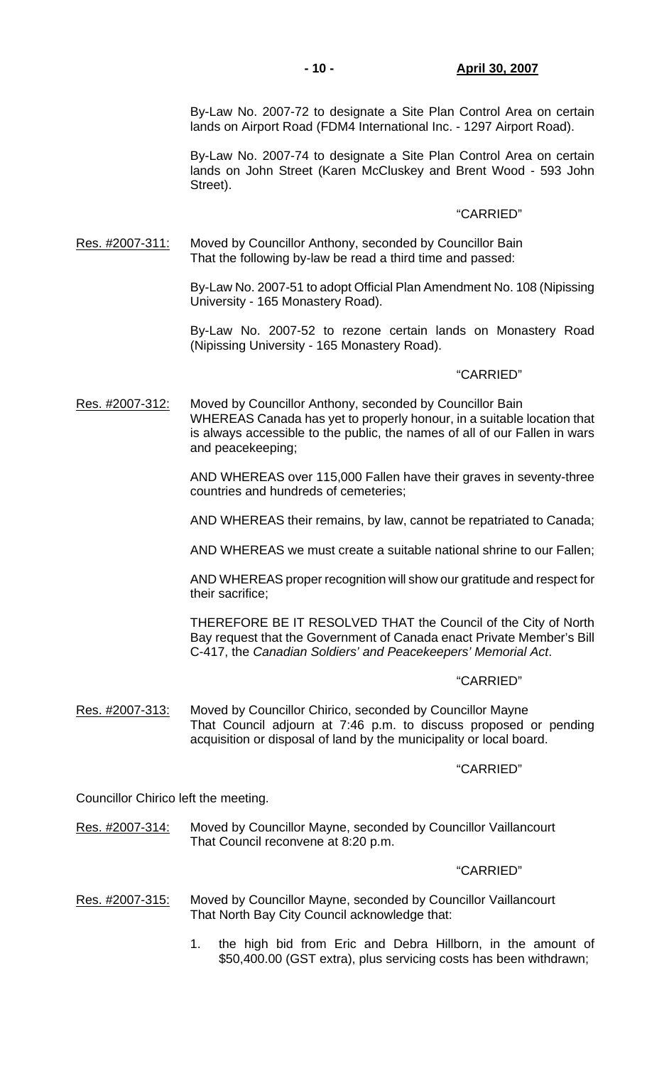By-Law No. 2007-72 to designate a Site Plan Control Area on certain lands on Airport Road (FDM4 International Inc. - 1297 Airport Road).

 By-Law No. 2007-74 to designate a Site Plan Control Area on certain lands on John Street (Karen McCluskey and Brent Wood - 593 John Street).

## "CARRIED"

Res. #2007-311: Moved by Councillor Anthony, seconded by Councillor Bain That the following by-law be read a third time and passed:

> By-Law No. 2007-51 to adopt Official Plan Amendment No. 108 (Nipissing University - 165 Monastery Road).

> By-Law No. 2007-52 to rezone certain lands on Monastery Road (Nipissing University - 165 Monastery Road).

## "CARRIED"

Res. #2007-312: Moved by Councillor Anthony, seconded by Councillor Bain WHEREAS Canada has yet to properly honour, in a suitable location that is always accessible to the public, the names of all of our Fallen in wars and peacekeeping;

> AND WHEREAS over 115,000 Fallen have their graves in seventy-three countries and hundreds of cemeteries;

> AND WHEREAS their remains, by law, cannot be repatriated to Canada;

AND WHEREAS we must create a suitable national shrine to our Fallen;

 AND WHEREAS proper recognition will show our gratitude and respect for their sacrifice;

 THEREFORE BE IT RESOLVED THAT the Council of the City of North Bay request that the Government of Canada enact Private Member's Bill C-417, the *Canadian Soldiers' and Peacekeepers' Memorial Act*.

## "CARRIED"

Res. #2007-313: Moved by Councillor Chirico, seconded by Councillor Mayne That Council adjourn at 7:46 p.m. to discuss proposed or pending acquisition or disposal of land by the municipality or local board.

## "CARRIED"

Councillor Chirico left the meeting.

## Res. #2007-314: Moved by Councillor Mayne, seconded by Councillor Vaillancourt That Council reconvene at 8:20 p.m.

- Res. #2007-315: Moved by Councillor Mayne, seconded by Councillor Vaillancourt That North Bay City Council acknowledge that:
	- 1. the high bid from Eric and Debra Hillborn, in the amount of \$50,400.00 (GST extra), plus servicing costs has been withdrawn;